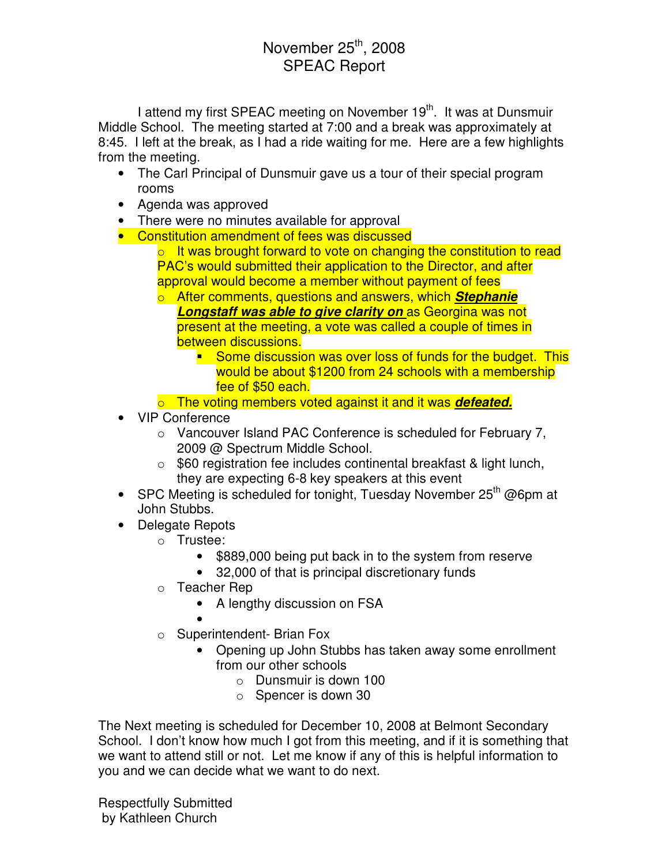## November  $25<sup>th</sup>$ , 2008 SPEAC Report

I attend my first SPEAC meeting on November 19<sup>th</sup>. It was at Dunsmuir Middle School. The meeting started at 7:00 and a break was approximately at 8:45. I left at the break, as I had a ride waiting for me. Here are a few highlights from the meeting.

- The Carl Principal of Dunsmuir gave us a tour of their special program rooms
- Agenda was approved
- There were no minutes available for approval
- Constitution amendment of fees was discussed
	- $\circ$  It was brought forward to vote on changing the constitution to read PAC's would submitted their application to the Director, and after approval would become a member without payment of fees
	- o After comments, questions and answers, which **Stephanie Longstaff was able to give clarity on** as Georgina was not present at the meeting, a vote was called a couple of times in between discussions.
		- Some discussion was over loss of funds for the budget. This would be about \$1200 from 24 schools with a membership fee of \$50 each.
	- o The voting members voted against it and it was **defeated.**
- VIP Conference
	- o Vancouver Island PAC Conference is scheduled for February 7, 2009 @ Spectrum Middle School.
	- $\circ$  \$60 registration fee includes continental breakfast & light lunch, they are expecting 6-8 key speakers at this event
- SPC Meeting is scheduled for tonight, Tuesday November  $25<sup>th</sup>$  @6pm at John Stubbs.
- Delegate Repots
	- o Trustee:
		- \$889,000 being put back in to the system from reserve
		- 32,000 of that is principal discretionary funds
	- o Teacher Rep
		- A lengthy discussion on FSA
		- •
	- o Superintendent- Brian Fox
		- Opening up John Stubbs has taken away some enrollment from our other schools
			- o Dunsmuir is down 100
			- o Spencer is down 30

The Next meeting is scheduled for December 10, 2008 at Belmont Secondary School. I don't know how much I got from this meeting, and if it is something that we want to attend still or not. Let me know if any of this is helpful information to you and we can decide what we want to do next.

Respectfully Submitted by Kathleen Church